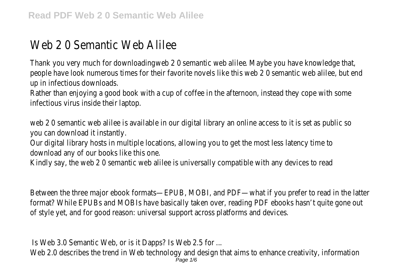## Web 2 0 Semantic Web Alilee

Thank you very much for downloading web 2 0 semantic web alilee. Maybe you have knowledge that, people have look numerous times for their favorite novels like this web 2 0 semantic web alilee, but end up in infectious downloads.

Rather than enjoying a good book with a cup of coffee in the afternoon, instead they cope with some infectious virus inside their laptop.

web 2 0 semantic web alilee is available in our digital library an online access to it is set as public so you can download it instantly.

Our digital library hosts in multiple locations, allowing you to get the most less latency time to download any of our books like this one.

Kindly say, the web 2 0 semantic web alilee is universally compatible with any devices to read

Between the three major ebook formats—EPUB, MOBI, and PDF—what if you prefer to read in the latter format? While EPUBs and MOBIs have basically taken over, reading PDF ebooks hasn't quite gone out of style yet, and for good reason: universal support across platforms and devices.

Is Web 3.0 Semantic Web, or is it Dapps? Is Web 2.5 for ... Web 2.0 describes the trend in Web technology and design that aims to enhance creativity, information Page 1/6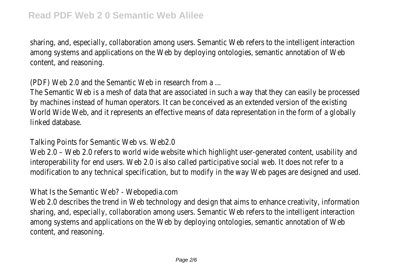sharing, and, especially, collaboration among users. Semantic Web refers to the intelligent interaction among systems and applications on the Web by deploying ontologies, semantic annotation of Web content, and reasoning.

(PDF) Web 2.0 and the Semantic Web in research from a ...

The Semantic Web is a mesh of data that are associated in such a way that they can easily be processed by machines instead of human operators. It can be conceived as an extended version of the existing World Wide Web, and it represents an effective means of data representation in the form of a globally linked database.

Talking Points for Semantic Web vs. Web2.0

Web 2.0 - Web 2.0 refers to world wide website which highlight user-generated content, usability and interoperability for end users. Web 2.0 is also called participative social web. It does not refer to a modification to any technical specification, but to modify in the way Web pages are designed and used.

What Is the Semantic Web? - Webopedia.com

Web 2.0 describes the trend in Web technology and design that aims to enhance creativity, information sharing, and, especially, collaboration among users. Semantic Web refers to the intelligent interaction among systems and applications on the Web by deploying ontologies, semantic annotation of Web content, and reasoning.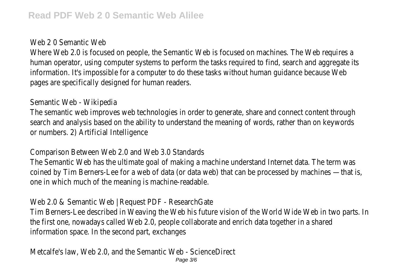## Web 2.0 Semantic Web

Where Web 2.0 is focused on people, the Semantic Web is focused on machines. The Web requires a human operator, using computer systems to perform the tasks required to find, search and aggregate its information. It's impossible for a computer to do these tasks without human guidance because Web pages are specifically designed for human readers.

Semantic Web - Wikipedia

The semantic web improves web technologies in order to generate, share and connect content through search and analysis based on the ability to understand the meaning of words, rather than on keywords or numbers. 2) Artificial Intelligence

Comparison Between Web 2.0 and Web 3.0 Standards

The Semantic Web has the ultimate goal of making a machine understand Internet data. The term was coined by Tim Berners-Lee for a web of data (or data web) that can be processed by machines —that is, one in which much of the meaning is machine-readable.

Web 2.0 & Semantic Web | Request PDF - ResearchGate

Tim Berners-Lee described in Weaving the Web his future vision of the World Wide Web in two parts. In the first one, nowadays called Web 2.0, people collaborate and enrich data together in a shared information space. In the second part, exchanges

Metcalfe's law, Web 2.0, and the Semantic Web - ScienceDirect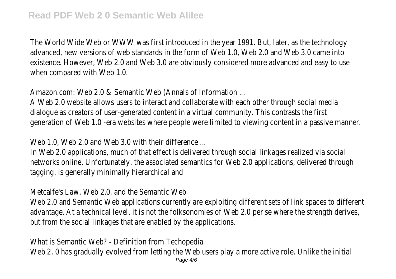The World Wide Web or WWW was first introduced in the year 1991. But, later, as the technology advanced, new versions of web standards in the form of Web 1.0, Web 2.0 and Web 3.0 came into existence. However, Web 2.0 and Web 3.0 are obviously considered more advanced and easy to use when compared with Web 1.0.

Amazon.com: Web 2.0 & Semantic Web (Annals of Information ...

A Web 2.0 website allows users to interact and collaborate with each other through social media dialogue as creators of user-generated content in a virtual community. This contrasts the first generation of Web 1.0 -era websites where people were limited to viewing content in a passive manner.

Web 1.0, Web 2.0 and Web 3.0 with their difference ...

In Web 2.0 applications, much of that effect is delivered through social linkages realized via social networks online. Unfortunately, the associated semantics for Web 2.0 applications, delivered through tagging, is generally minimally hierarchical and

Metcalfe's Law, Web 2.0, and the Semantic Web

Web 2.0 and Semantic Web applications currently are exploiting different sets of link spaces to different advantage. At a technical level, it is not the folksonomies of Web 2.0 per se where the strength derives, but from the social linkages that are enabled by the applications.

What is Semantic Web? - Definition from Techopedia Web 2. 0 has gradually evolved from letting the Web users play a more active role. Unlike the initial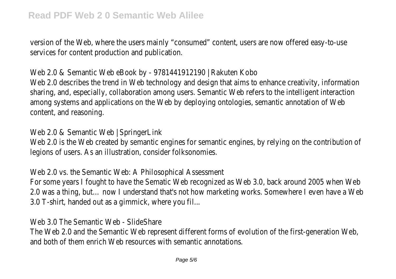version of the Web, where the users mainly "consumed" content, users are now offered easy-to-use services for content production and publication.

Web 2.0 & Semantic Web eBook by - 9781441912190 | Rakuten Kobo Web 2.0 describes the trend in Web technology and design that aims to enhance creativity, information sharing, and, especially, collaboration among users. Semantic Web refers to the intelligent interaction among systems and applications on the Web by deploying ontologies, semantic annotation of Web

content, and reasoning.

Web 2.0 & Semantic Web | SpringerLink

Web 2.0 is the Web created by semantic engines for semantic engines, by relying on the contribution of legions of users. As an illustration, consider folksonomies.

Web 2.0 vs. the Semantic Web: A Philosophical Assessment

For some years I fought to have the Sematic Web recognized as Web 3.0, back around 2005 when Web 2.0 was a thing, but… now I understand that's not how marketing works. Somewhere I even have a Web 3.0 T-shirt, handed out as a gimmick, where you fil...

Web 3.0 The Semantic Web - SlideShare

The Web 2.0 and the Semantic Web represent different forms of evolution of the first-generation Web, and both of them enrich Web resources with semantic annotations.